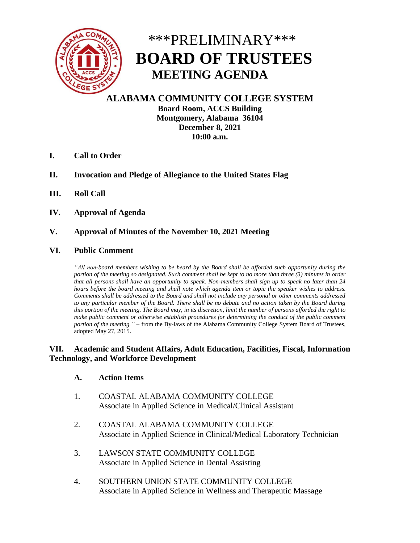

# \*\*\*PRELIMINARY\*\*\*  **BOARD OF TRUSTEES MEETING AGENDA**

**ALABAMA COMMUNITY COLLEGE SYSTEM Board Room, ACCS Building Montgomery, Alabama 36104 December 8, 2021 10:00 a.m.**

- **I. Call to Order**
- **II. Invocation and Pledge of Allegiance to the United States Flag**
- **III. Roll Call**
- **IV. Approval of Agenda**

# **V. Approval of Minutes of the November 10, 2021 Meeting**

#### **VI. Public Comment**

*"All non-board members wishing to be heard by the Board shall be afforded such opportunity during the portion of the meeting so designated. Such comment shall be kept to no more than three (3) minutes in order that all persons shall have an opportunity to speak. Non-members shall sign up to speak no later than 24 hours before the board meeting and shall note which agenda item or topic the speaker wishes to address. Comments shall be addressed to the Board and shall not include any personal or other comments addressed to any particular member of the Board. There shall be no debate and no action taken by the Board during this portion of the meeting. The Board may, in its discretion, limit the number of persons afforded the right to make public comment or otherwise establish procedures for determining the conduct of the public comment portion of the meeting."* – from the By-laws of the Alabama Community College System Board of Trustees, adopted May 27, 2015.

#### **VII. Academic and Student Affairs, Adult Education, Facilities, Fiscal, Information Technology, and Workforce Development**

#### **A. Action Items**

- 1. COASTAL ALABAMA COMMUNITY COLLEGE Associate in Applied Science in Medical/Clinical Assistant
- 2. COASTAL ALABAMA COMMUNITY COLLEGE Associate in Applied Science in Clinical/Medical Laboratory Technician
- 3. LAWSON STATE COMMUNITY COLLEGE Associate in Applied Science in Dental Assisting
- 4. SOUTHERN UNION STATE COMMUNITY COLLEGE Associate in Applied Science in Wellness and Therapeutic Massage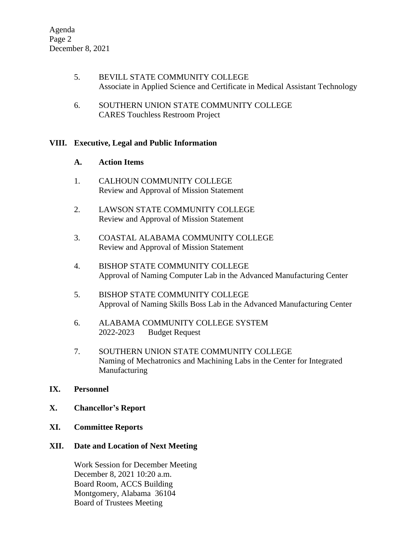- 5. BEVILL STATE COMMUNITY COLLEGE Associate in Applied Science and Certificate in Medical Assistant Technology
- 6. SOUTHERN UNION STATE COMMUNITY COLLEGE CARES Touchless Restroom Project

# **VIII. Executive, Legal and Public Information**

#### **A. Action Items**

- 1. CALHOUN COMMUNITY COLLEGE Review and Approval of Mission Statement
- 2. LAWSON STATE COMMUNITY COLLEGE Review and Approval of Mission Statement
- 3. COASTAL ALABAMA COMMUNITY COLLEGE Review and Approval of Mission Statement
- 4. BISHOP STATE COMMUNITY COLLEGE Approval of Naming Computer Lab in the Advanced Manufacturing Center
- 5. BISHOP STATE COMMUNITY COLLEGE Approval of Naming Skills Boss Lab in the Advanced Manufacturing Center
- 6. ALABAMA COMMUNITY COLLEGE SYSTEM 2022-2023 Budget Request
- 7. SOUTHERN UNION STATE COMMUNITY COLLEGE Naming of Mechatronics and Machining Labs in the Center for Integrated Manufacturing

# **IX. Personnel**

- **X. Chancellor's Report**
- **XI. Committee Reports**

# **XII. Date and Location of Next Meeting**

Work Session for December Meeting December 8, 2021 10:20 a.m. Board Room, ACCS Building Montgomery, Alabama 36104 Board of Trustees Meeting